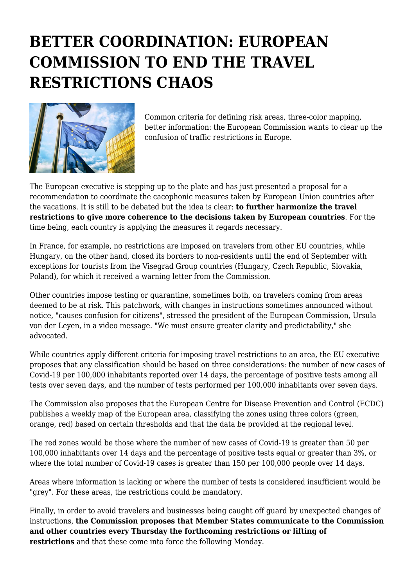## **BETTER COORDINATION: EUROPEAN COMMISSION TO END THE TRAVEL RESTRICTIONS CHAOS**



Common criteria for defining risk areas, three-color mapping, better information: the European Commission wants to clear up the confusion of traffic restrictions in Europe.

The European executive is stepping up to the plate and has just presented a proposal for a recommendation to coordinate the cacophonic measures taken by European Union countries after the vacations. It is still to be debated but the idea is clear: **to further harmonize the travel restrictions to give more coherence to the decisions taken by European countries**. For the time being, each country is applying the measures it regards necessary.

In France, for example, no restrictions are imposed on travelers from other EU countries, while Hungary, on the other hand, closed its borders to non-residents until the end of September with exceptions for tourists from the Visegrad Group countries (Hungary, Czech Republic, Slovakia, Poland), for which it received a warning letter from the Commission.

Other countries impose testing or quarantine, sometimes both, on travelers coming from areas deemed to be at risk. This patchwork, with changes in instructions sometimes announced without notice, "causes confusion for citizens", stressed the president of the European Commission, Ursula von der Leyen, in a video message. "We must ensure greater clarity and predictability," she advocated.

While countries apply different criteria for imposing travel restrictions to an area, the EU executive proposes that any classification should be based on three considerations: the number of new cases of Covid-19 per 100,000 inhabitants reported over 14 days, the percentage of positive tests among all tests over seven days, and the number of tests performed per 100,000 inhabitants over seven days.

The Commission also proposes that the European Centre for Disease Prevention and Control (ECDC) publishes a weekly map of the European area, classifying the zones using three colors (green, orange, red) based on certain thresholds and that the data be provided at the regional level.

The red zones would be those where the number of new cases of Covid-19 is greater than 50 per 100,000 inhabitants over 14 days and the percentage of positive tests equal or greater than 3%, or where the total number of Covid-19 cases is greater than 150 per 100,000 people over 14 days.

Areas where information is lacking or where the number of tests is considered insufficient would be "grey". For these areas, the restrictions could be mandatory.

Finally, in order to avoid travelers and businesses being caught off guard by unexpected changes of instructions, **the Commission proposes that Member States communicate to the Commission and other countries every Thursday the forthcoming restrictions or lifting of restrictions** and that these come into force the following Monday.